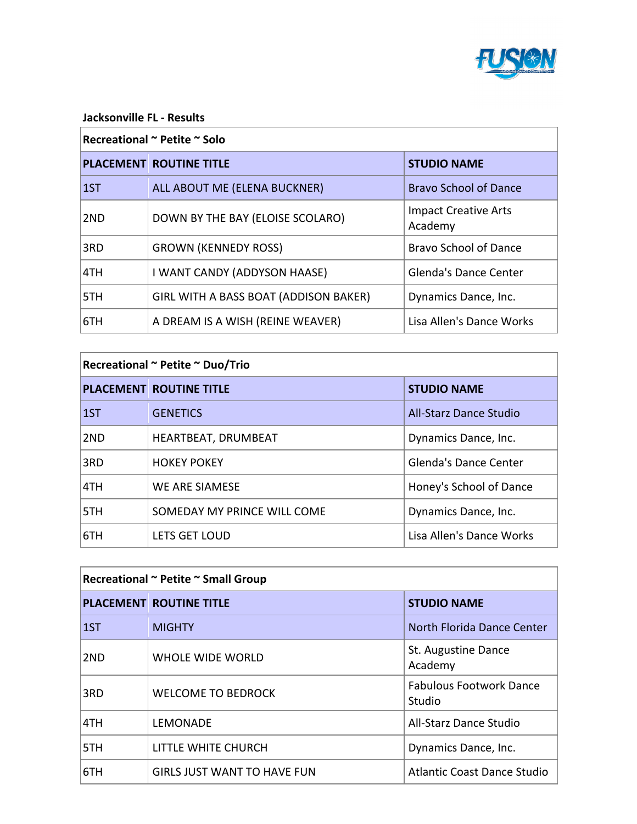

#### **Jacksonville FL - Results**

#### **Recreational ~ Petite ~ Solo**

|      | <b>PLACEMENT ROUTINE TITLE</b>        | <b>STUDIO NAME</b>                     |
|------|---------------------------------------|----------------------------------------|
| 1ST  | ALL ABOUT ME (ELENA BUCKNER)          | <b>Bravo School of Dance</b>           |
| 2ND  | DOWN BY THE BAY (ELOISE SCOLARO)      | <b>Impact Creative Arts</b><br>Academy |
| 3RD  | <b>GROWN (KENNEDY ROSS)</b>           | <b>Bravo School of Dance</b>           |
| ∣4TH | I WANT CANDY (ADDYSON HAASE)          | <b>Glenda's Dance Center</b>           |
| 15TH | GIRL WITH A BASS BOAT (ADDISON BAKER) | Dynamics Dance, Inc.                   |
| 6TH  | A DREAM IS A WISH (REINE WEAVER)      | Lisa Allen's Dance Works               |

| Recreational ~ Petite ~ Duo/Trio |                                |                              |
|----------------------------------|--------------------------------|------------------------------|
|                                  | <b>PLACEMENT ROUTINE TITLE</b> | <b>STUDIO NAME</b>           |
| 1ST                              | <b>GENETICS</b>                | All-Starz Dance Studio       |
| 2ND                              | HEARTBEAT, DRUMBEAT            | Dynamics Dance, Inc.         |
| 3RD                              | <b>HOKEY POKEY</b>             | <b>Glenda's Dance Center</b> |
| 4TH                              | WE ARE SIAMESE                 | Honey's School of Dance      |
| 5TH                              | SOMEDAY MY PRINCE WILL COME    | Dynamics Dance, Inc.         |
| 6TH                              | LETS GET LOUD                  | Lisa Allen's Dance Works     |

| Recreational ~ Petite ~ Small Group |                                    |                                          |
|-------------------------------------|------------------------------------|------------------------------------------|
|                                     | <b>PLACEMENT ROUTINE TITLE</b>     | <b>STUDIO NAME</b>                       |
| 1ST                                 | <b>MIGHTY</b>                      | North Florida Dance Center               |
| 2ND                                 | WHOLE WIDE WORLD                   | St. Augustine Dance<br>Academy           |
| 3RD                                 | <b>WELCOME TO BEDROCK</b>          | <b>Fabulous Footwork Dance</b><br>Studio |
| 4TH                                 | <b>LEMONADE</b>                    | All-Starz Dance Studio                   |
| 5TH                                 | LITTLE WHITE CHURCH                | Dynamics Dance, Inc.                     |
| 6TH                                 | <b>GIRLS JUST WANT TO HAVE FUN</b> | Atlantic Coast Dance Studio              |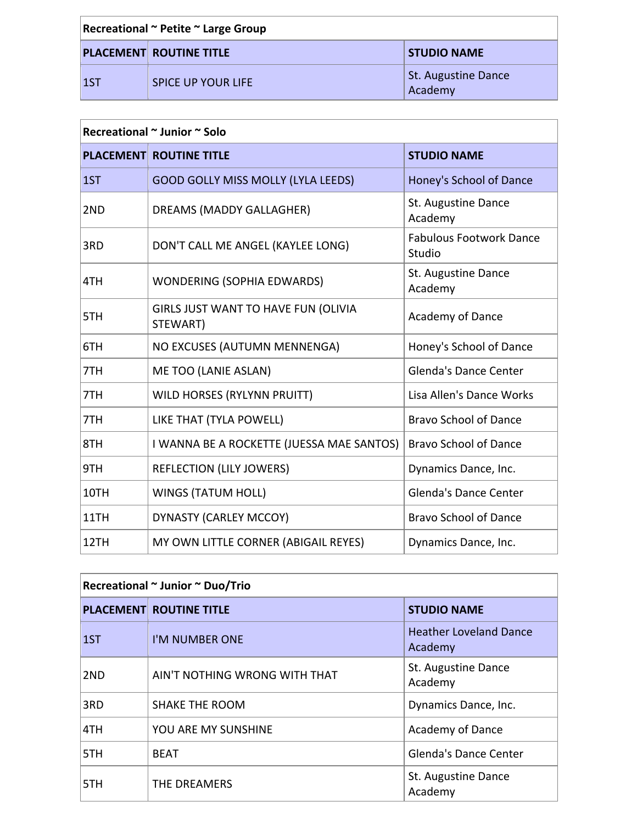| Recreational ~ Petite ~ Large Group |                                |                                       |
|-------------------------------------|--------------------------------|---------------------------------------|
|                                     | <b>PLACEMENT ROUTINE TITLE</b> | <b>STUDIO NAME</b>                    |
| $\vert$ 1ST                         | SPICE UP YOUR LIFE             | <b>St. Augustine Dance</b><br>Academy |

| <b>PLACEMENT</b> | <b>ROUTINE TITLE</b>                            | <b>STUDIO NAME</b>                       |
|------------------|-------------------------------------------------|------------------------------------------|
| 1ST              | <b>GOOD GOLLY MISS MOLLY (LYLA LEEDS)</b>       | Honey's School of Dance                  |
| 2ND              | DREAMS (MADDY GALLAGHER)                        | St. Augustine Dance<br>Academy           |
| 3RD              | DON'T CALL ME ANGEL (KAYLEE LONG)               | <b>Fabulous Footwork Dance</b><br>Studio |
| 4TH              | <b>WONDERING (SOPHIA EDWARDS)</b>               | St. Augustine Dance<br>Academy           |
| 5TH              | GIRLS JUST WANT TO HAVE FUN (OLIVIA<br>STEWART) | Academy of Dance                         |
| 6TH              | NO EXCUSES (AUTUMN MENNENGA)                    | Honey's School of Dance                  |
| 7TH              | <b>ME TOO (LANIE ASLAN)</b>                     | Glenda's Dance Center                    |
| 7TH              | WILD HORSES (RYLYNN PRUITT)                     | Lisa Allen's Dance Works                 |
| 7TH              | LIKE THAT (TYLA POWELL)                         | <b>Bravo School of Dance</b>             |
| 8TH              | I WANNA BE A ROCKETTE (JUESSA MAE SANTOS)       | <b>Bravo School of Dance</b>             |
| 9TH              | <b>REFLECTION (LILY JOWERS)</b>                 | Dynamics Dance, Inc.                     |
| 10TH             | <b>WINGS (TATUM HOLL)</b>                       | Glenda's Dance Center                    |
| 11TH             | DYNASTY (CARLEY MCCOY)                          | <b>Bravo School of Dance</b>             |
| 12TH             | MY OWN LITTLE CORNER (ABIGAIL REYES)            | Dynamics Dance, Inc.                     |

| Recreational ~ Junior ~ Duo/Trio |                                |                                          |
|----------------------------------|--------------------------------|------------------------------------------|
|                                  | <b>PLACEMENT ROUTINE TITLE</b> | <b>STUDIO NAME</b>                       |
| 1ST                              | I'M NUMBER ONE                 | <b>Heather Loveland Dance</b><br>Academy |
| 2 <sub>ND</sub>                  | AIN'T NOTHING WRONG WITH THAT  | St. Augustine Dance<br>Academy           |
| 3RD                              | <b>SHAKE THE ROOM</b>          | Dynamics Dance, Inc.                     |
| 4TH                              | YOU ARE MY SUNSHINE            | Academy of Dance                         |
| 5TH                              | <b>BEAT</b>                    | <b>Glenda's Dance Center</b>             |
| 5TH                              | THE DREAMERS                   | St. Augustine Dance<br>Academy           |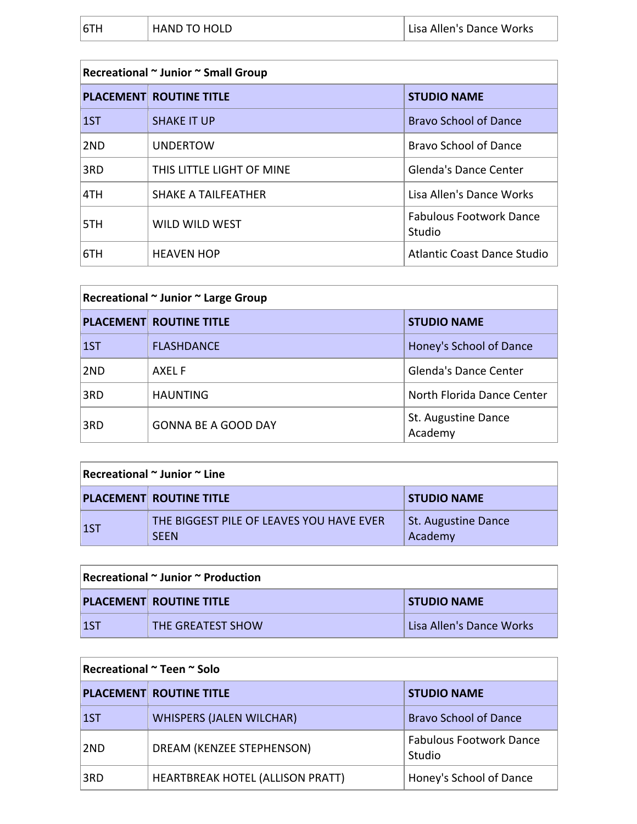| 6TH<br><b>HAND TO HOLD</b> | Lisa Allen's Dance Works |
|----------------------------|--------------------------|
|----------------------------|--------------------------|

| Recreational ~ Junior ~ Small Group |                                |                                          |
|-------------------------------------|--------------------------------|------------------------------------------|
|                                     | <b>PLACEMENT ROUTINE TITLE</b> | <b>STUDIO NAME</b>                       |
| 1ST                                 | <b>SHAKE IT UP</b>             | <b>Bravo School of Dance</b>             |
| 2ND                                 | <b>UNDERTOW</b>                | Bravo School of Dance                    |
| 3RD                                 | THIS LITTLE LIGHT OF MINE      | <b>Glenda's Dance Center</b>             |
| 4TH                                 | <b>SHAKE A TAILFEATHER</b>     | Lisa Allen's Dance Works                 |
| 5TH                                 | WILD WILD WEST                 | <b>Fabulous Footwork Dance</b><br>Studio |
| 6TH                                 | <b>HEAVEN HOP</b>              | <b>Atlantic Coast Dance Studio</b>       |

| Recreational ~ Junior ~ Large Group |                                |                                |
|-------------------------------------|--------------------------------|--------------------------------|
|                                     | <b>PLACEMENT ROUTINE TITLE</b> | <b>STUDIO NAME</b>             |
| 1ST                                 | <b>FLASHDANCE</b>              | Honey's School of Dance        |
| 2ND                                 | AXEL F                         | <b>Glenda's Dance Center</b>   |
| 3RD                                 | <b>HAUNTING</b>                | North Florida Dance Center     |
| 3RD                                 | <b>GONNA BE A GOOD DAY</b>     | St. Augustine Dance<br>Academy |

## **Recreational ~ Junior ~ Line**

|             | <b>PLACEMENT ROUTINE TITLE</b>                          | <b>STUDIO NAME</b>             |
|-------------|---------------------------------------------------------|--------------------------------|
| $\vert$ 1ST | THE BIGGEST PILE OF LEAVES YOU HAVE EVER<br><b>SEEN</b> | St. Augustine Dance<br>Academy |

| $\vert$ Recreational $\sim$ Junior $\sim$ Production |                                |                          |
|------------------------------------------------------|--------------------------------|--------------------------|
|                                                      | <b>PLACEMENT ROUTINE TITLE</b> | <b>STUDIO NAME</b>       |
| LST                                                  | THE GREATEST SHOW              | Lisa Allen's Dance Works |

| Recreational ~ Teen ~ Solo |  |
|----------------------------|--|
|                            |  |

|     | <b>PLACEMENT ROUTINE TITLE</b>          | <b>STUDIO NAME</b>                       |
|-----|-----------------------------------------|------------------------------------------|
| 1ST | <b>WHISPERS (JALEN WILCHAR)</b>         | <b>Bravo School of Dance</b>             |
| 2ND | DREAM (KENZEE STEPHENSON)               | <b>Fabulous Footwork Dance</b><br>Studio |
| 3RD | <b>HEARTBREAK HOTEL (ALLISON PRATT)</b> | Honey's School of Dance                  |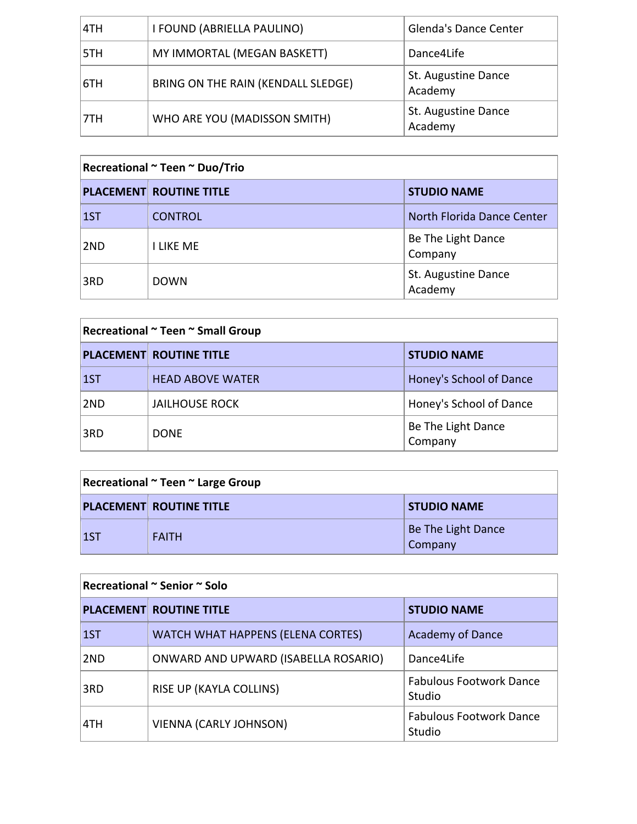| 4TH | I FOUND (ABRIELLA PAULINO)         | <b>Glenda's Dance Center</b>   |
|-----|------------------------------------|--------------------------------|
| 5TH | MY IMMORTAL (MEGAN BASKETT)        | Dance4Life                     |
| 6TH | BRING ON THE RAIN (KENDALL SLEDGE) | St. Augustine Dance<br>Academy |
| 7TH | WHO ARE YOU (MADISSON SMITH)       | St. Augustine Dance<br>Academy |

#### **Recreational ~ Teen ~ Duo/Trio**

|             | <b>PLACEMENT ROUTINE TITLE</b> | <b>STUDIO NAME</b>             |
|-------------|--------------------------------|--------------------------------|
| $\vert$ 1ST | <b>CONTROL</b>                 | North Florida Dance Center     |
| 2ND         | <b>I LIKE ME</b>               | Be The Light Dance<br>Company  |
| 3RD         | <b>DOWN</b>                    | St. Augustine Dance<br>Academy |

#### **Recreational ~ Teen ~ Small Group**

|             | <b>PLACEMENT ROUTINE TITLE</b> | <b>STUDIO NAME</b>            |
|-------------|--------------------------------|-------------------------------|
| $\vert$ 1ST | <b>HEAD ABOVE WATER</b>        | Honey's School of Dance       |
| 2ND         | <b>JAILHOUSE ROCK</b>          | Honey's School of Dance       |
| 3RD         | <b>DONE</b>                    | Be The Light Dance<br>Company |

## **Recreational ~ Teen ~ Large Group**

|    | <b>PLACEMENT ROUTINE TITLE</b> | <b>STUDIO NAME</b>                          |
|----|--------------------------------|---------------------------------------------|
| 15 | <b>FAITH</b>                   | <b>Be The Light Dance</b><br><b>Company</b> |

#### **Recreational ~ Senior ~ Solo**

|     | <b>PLACEMENT ROUTINE TITLE</b>       | <b>STUDIO NAME</b>                       |
|-----|--------------------------------------|------------------------------------------|
| 1ST | WATCH WHAT HAPPENS (ELENA CORTES)    | <b>Academy of Dance</b>                  |
| 2ND | ONWARD AND UPWARD (ISABELLA ROSARIO) | Dance4Life                               |
| 3RD | <b>RISE UP (KAYLA COLLINS)</b>       | <b>Fabulous Footwork Dance</b><br>Studio |
| 4TH | <b>VIENNA (CARLY JOHNSON)</b>        | <b>Fabulous Footwork Dance</b><br>Studio |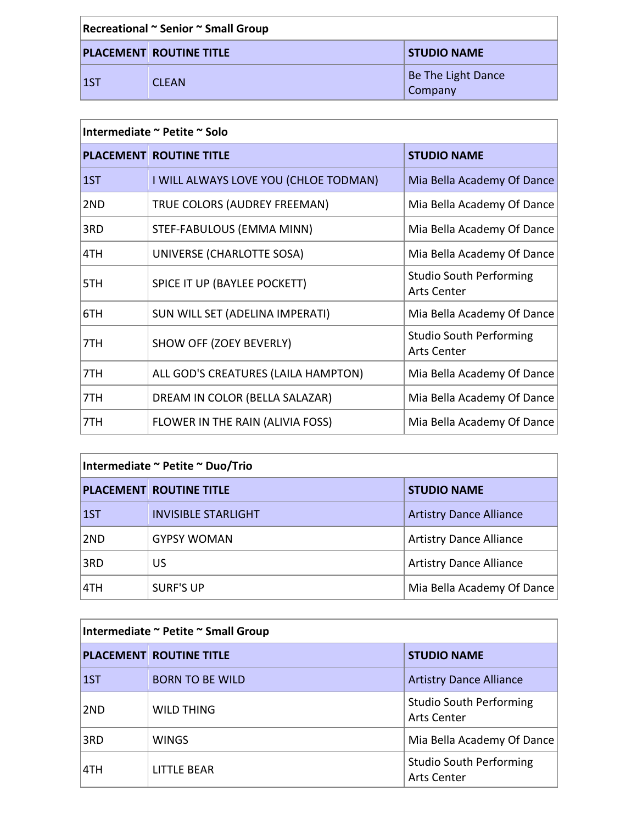| Recreational ~ Senior ~ Small Group |                                |                                      |
|-------------------------------------|--------------------------------|--------------------------------------|
|                                     | <b>PLACEMENT ROUTINE TITLE</b> | <b>STUDIO NAME</b>                   |
| $\vert$ 1ST                         | <b>CLEAN</b>                   | <b>Be The Light Dance</b><br>Company |

#### **Intermediate** ~ Petite ~ Solo

|     | <b>PLACEMENT ROUTINE TITLE</b>        | <b>STUDIO NAME</b>                                   |
|-----|---------------------------------------|------------------------------------------------------|
| 1ST | I WILL ALWAYS LOVE YOU (CHLOE TODMAN) | Mia Bella Academy Of Dance                           |
| 2ND | TRUE COLORS (AUDREY FREEMAN)          | Mia Bella Academy Of Dance                           |
| 3RD | STEF-FABULOUS (EMMA MINN)             | Mia Bella Academy Of Dance                           |
| 4TH | UNIVERSE (CHARLOTTE SOSA)             | Mia Bella Academy Of Dance                           |
| 5TH | SPICE IT UP (BAYLEE POCKETT)          | <b>Studio South Performing</b><br><b>Arts Center</b> |
| 6TH | SUN WILL SET (ADELINA IMPERATI)       | Mia Bella Academy Of Dance                           |
| 7TH | SHOW OFF (ZOEY BEVERLY)               | <b>Studio South Performing</b><br><b>Arts Center</b> |
| 7TH | ALL GOD'S CREATURES (LAILA HAMPTON)   | Mia Bella Academy Of Dance                           |
| 7TH | DREAM IN COLOR (BELLA SALAZAR)        | Mia Bella Academy Of Dance                           |
| 7TH | FLOWER IN THE RAIN (ALIVIA FOSS)      | Mia Bella Academy Of Dance                           |

## **Intermediate ~ Petite ~ Duo/Trio**

|             | <b>PLACEMENT ROUTINE TITLE</b> | <b>STUDIO NAME</b>             |
|-------------|--------------------------------|--------------------------------|
| $\vert$ 1ST | <b>INVISIBLE STARLIGHT</b>     | <b>Artistry Dance Alliance</b> |
| 2ND         | <b>GYPSY WOMAN</b>             | <b>Artistry Dance Alliance</b> |
| 3RD         | US                             | <b>Artistry Dance Alliance</b> |
| 14TH        | <b>SURF'S UP</b>               | Mia Bella Academy Of Dance     |

## **Intermediate** ~ Petite ~ Small Group

|                 | <b>PLACEMENT ROUTINE TITLE</b> | <b>STUDIO NAME</b>                                   |
|-----------------|--------------------------------|------------------------------------------------------|
| 1ST             | <b>BORN TO BE WILD</b>         | <b>Artistry Dance Alliance</b>                       |
| 2 <sub>ND</sub> | <b>WILD THING</b>              | <b>Studio South Performing</b><br><b>Arts Center</b> |
| 3RD             | <b>WINGS</b>                   | Mia Bella Academy Of Dance                           |
| ATH             | <b>LITTLE BEAR</b>             | <b>Studio South Performing</b><br><b>Arts Center</b> |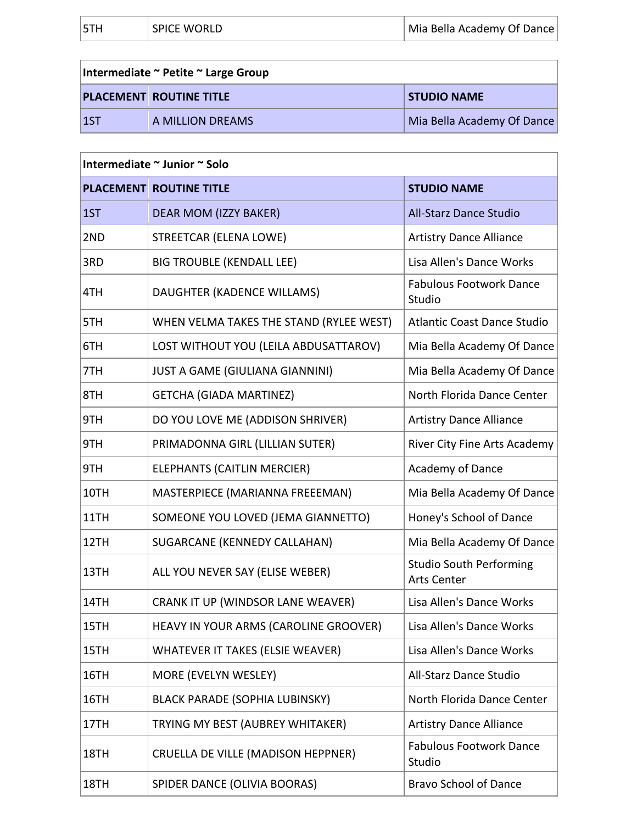| 5TF<br><b>SPICE WORLD</b> | Mia Bella Academy Of Dance |
|---------------------------|----------------------------|
|---------------------------|----------------------------|

| Intermediate ~ Petite ~ Large Group |                                |                            |
|-------------------------------------|--------------------------------|----------------------------|
|                                     | <b>PLACEMENT ROUTINE TITLE</b> | <b>STUDIO NAME</b>         |
| 11ST                                | A MILLION DREAMS               | Mia Bella Academy Of Dance |

| Intermediate ~ Junior ~ Solo |                                         |                                                      |
|------------------------------|-----------------------------------------|------------------------------------------------------|
|                              | <b>PLACEMENT ROUTINE TITLE</b>          | <b>STUDIO NAME</b>                                   |
| 1ST                          | DEAR MOM (IZZY BAKER)                   | <b>All-Starz Dance Studio</b>                        |
| 2ND                          | <b>STREETCAR (ELENA LOWE)</b>           | <b>Artistry Dance Alliance</b>                       |
| 3RD                          | <b>BIG TROUBLE (KENDALL LEE)</b>        | Lisa Allen's Dance Works                             |
| 4TH                          | DAUGHTER (KADENCE WILLAMS)              | <b>Fabulous Footwork Dance</b><br>Studio             |
| 5TH                          | WHEN VELMA TAKES THE STAND (RYLEE WEST) | <b>Atlantic Coast Dance Studio</b>                   |
| 6TH                          | LOST WITHOUT YOU (LEILA ABDUSATTAROV)   | Mia Bella Academy Of Dance                           |
| 7TH                          | JUST A GAME (GIULIANA GIANNINI)         | Mia Bella Academy Of Dance                           |
| 8TH                          | <b>GETCHA (GIADA MARTINEZ)</b>          | North Florida Dance Center                           |
| 9TH                          | DO YOU LOVE ME (ADDISON SHRIVER)        | <b>Artistry Dance Alliance</b>                       |
| 9TH                          | PRIMADONNA GIRL (LILLIAN SUTER)         | River City Fine Arts Academy                         |
| 9TH                          | ELEPHANTS (CAITLIN MERCIER)             | Academy of Dance                                     |
| 10TH                         | MASTERPIECE (MARIANNA FREEEMAN)         | Mia Bella Academy Of Dance                           |
| 11TH                         | SOMEONE YOU LOVED (JEMA GIANNETTO)      | Honey's School of Dance                              |
| 12TH                         | SUGARCANE (KENNEDY CALLAHAN)            | Mia Bella Academy Of Dance                           |
| 13TH                         | ALL YOU NEVER SAY (ELISE WEBER)         | <b>Studio South Performing</b><br><b>Arts Center</b> |
| 14TH                         | CRANK IT UP (WINDSOR LANE WEAVER)       | Lisa Allen's Dance Works                             |
| 15TH                         | HEAVY IN YOUR ARMS (CAROLINE GROOVER)   | Lisa Allen's Dance Works                             |
| 15TH                         | <b>WHATEVER IT TAKES (ELSIE WEAVER)</b> | Lisa Allen's Dance Works                             |
| 16TH                         | MORE (EVELYN WESLEY)                    | All-Starz Dance Studio                               |
| 16TH                         | <b>BLACK PARADE (SOPHIA LUBINSKY)</b>   | North Florida Dance Center                           |
| 17TH                         | TRYING MY BEST (AUBREY WHITAKER)        | <b>Artistry Dance Alliance</b>                       |
| 18TH                         | CRUELLA DE VILLE (MADISON HEPPNER)      | <b>Fabulous Footwork Dance</b><br>Studio             |
| 18TH                         | SPIDER DANCE (OLIVIA BOORAS)            | <b>Bravo School of Dance</b>                         |
|                              |                                         |                                                      |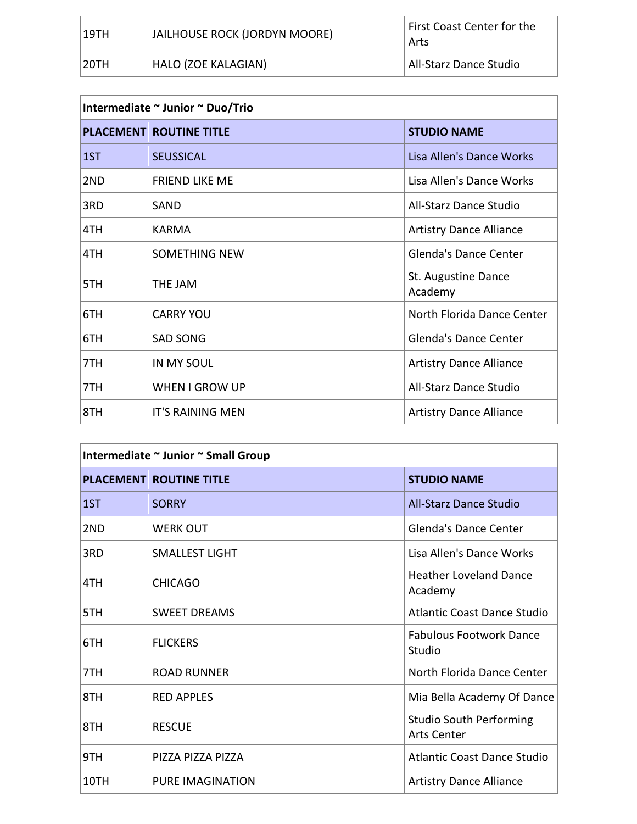| $\vert$ 19TH | JAILHOUSE ROCK (JORDYN MOORE) | First Coast Center for the<br>Arts |
|--------------|-------------------------------|------------------------------------|
| 20TH         | HALO (ZOE KALAGIAN)           | All-Starz Dance Studio             |

## **Intermediate ~ Junior ~ Duo/Trio**

|     | <b>PLACEMENT ROUTINE TITLE</b> | <b>STUDIO NAME</b>             |
|-----|--------------------------------|--------------------------------|
| 1ST | <b>SEUSSICAL</b>               | Lisa Allen's Dance Works       |
| 2ND | <b>FRIEND LIKE ME</b>          | Lisa Allen's Dance Works       |
| 3RD | SAND                           | All-Starz Dance Studio         |
| 4TH | KARMA                          | <b>Artistry Dance Alliance</b> |
| 4TH | <b>SOMETHING NEW</b>           | Glenda's Dance Center          |
| 5TH | THE JAM                        | St. Augustine Dance<br>Academy |
| 6TH | <b>CARRY YOU</b>               | North Florida Dance Center     |
| 6TH | <b>SAD SONG</b>                | <b>Glenda's Dance Center</b>   |
| 7TH | <b>IN MY SOUL</b>              | <b>Artistry Dance Alliance</b> |
| 7TH | WHEN I GROW UP                 | All-Starz Dance Studio         |
| 8TH | <b>IT'S RAINING MEN</b>        | <b>Artistry Dance Alliance</b> |

# **Intermediate ~ Junior ~ Small Group**

|      | <b>PLACEMENT ROUTINE TITLE</b> | <b>STUDIO NAME</b>                                   |
|------|--------------------------------|------------------------------------------------------|
| 1ST  | <b>SORRY</b>                   | <b>All-Starz Dance Studio</b>                        |
| 2ND  | <b>WERK OUT</b>                | Glenda's Dance Center                                |
| 3RD  | <b>SMALLEST LIGHT</b>          | Lisa Allen's Dance Works                             |
| 4TH  | <b>CHICAGO</b>                 | <b>Heather Loveland Dance</b><br>Academy             |
| 5TH  | <b>SWEET DREAMS</b>            | <b>Atlantic Coast Dance Studio</b>                   |
| 6TH  | <b>FLICKERS</b>                | <b>Fabulous Footwork Dance</b><br>Studio             |
| 7TH  | <b>ROAD RUNNER</b>             | North Florida Dance Center                           |
| 8TH  | <b>RED APPLES</b>              | Mia Bella Academy Of Dance                           |
| 8TH  | <b>RESCUE</b>                  | <b>Studio South Performing</b><br><b>Arts Center</b> |
| 9TH  | PIZZA PIZZA PIZZA              | <b>Atlantic Coast Dance Studio</b>                   |
| 10TH | <b>PURE IMAGINATION</b>        | <b>Artistry Dance Alliance</b>                       |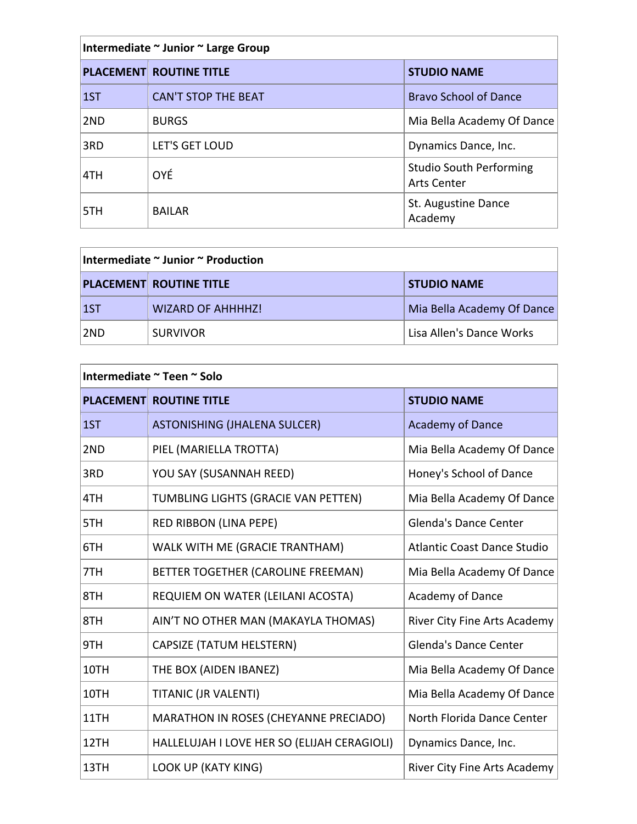| Intermediate ~ Junior ~ Large Group |                                |                                                      |
|-------------------------------------|--------------------------------|------------------------------------------------------|
|                                     | <b>PLACEMENT ROUTINE TITLE</b> | <b>STUDIO NAME</b>                                   |
| 1ST                                 | <b>CAN'T STOP THE BEAT</b>     | <b>Bravo School of Dance</b>                         |
| 2ND                                 | <b>BURGS</b>                   | Mia Bella Academy Of Dance                           |
| 3RD                                 | LET'S GET LOUD                 | Dynamics Dance, Inc.                                 |
| 4TH                                 | <b>OYÉ</b>                     | <b>Studio South Performing</b><br><b>Arts Center</b> |
| 5TH                                 | <b>BAILAR</b>                  | St. Augustine Dance<br>Academy                       |

| Intermediate ~ Junior ~ Production |                                |                            |
|------------------------------------|--------------------------------|----------------------------|
|                                    | <b>PLACEMENT ROUTINE TITLE</b> | <b>STUDIO NAME</b>         |
| $\vert$ 1ST                        | <b>WIZARD OF AHHHHZ!</b>       | Mia Bella Academy Of Dance |
| ∣2ND                               | <b>SURVIVOR</b>                | Lisa Allen's Dance Works   |

| Intermediate ~ Teen ~ Solo |                                             |                              |
|----------------------------|---------------------------------------------|------------------------------|
|                            | <b>PLACEMENT ROUTINE TITLE</b>              | <b>STUDIO NAME</b>           |
| 1ST                        | <b>ASTONISHING (JHALENA SULCER)</b>         | <b>Academy of Dance</b>      |
| 2ND                        | PIEL (MARIELLA TROTTA)                      | Mia Bella Academy Of Dance   |
| 3RD                        | YOU SAY (SUSANNAH REED)                     | Honey's School of Dance      |
| 4TH                        | TUMBLING LIGHTS (GRACIE VAN PETTEN)         | Mia Bella Academy Of Dance   |
| 5TH                        | RED RIBBON (LINA PEPE)                      | <b>Glenda's Dance Center</b> |
| 6TH                        | WALK WITH ME (GRACIE TRANTHAM)              | Atlantic Coast Dance Studio  |
| 7TH                        | BETTER TOGETHER (CAROLINE FREEMAN)          | Mia Bella Academy Of Dance   |
| 8TH                        | REQUIEM ON WATER (LEILANI ACOSTA)           | Academy of Dance             |
| 8TH                        | AIN'T NO OTHER MAN (MAKAYLA THOMAS)         | River City Fine Arts Academy |
| 9TH                        | CAPSIZE (TATUM HELSTERN)                    | <b>Glenda's Dance Center</b> |
| 10TH                       | THE BOX (AIDEN IBANEZ)                      | Mia Bella Academy Of Dance   |
| 10TH                       | TITANIC (JR VALENTI)                        | Mia Bella Academy Of Dance   |
| 11TH                       | MARATHON IN ROSES (CHEYANNE PRECIADO)       | North Florida Dance Center   |
| 12TH                       | HALLELUJAH I LOVE HER SO (ELIJAH CERAGIOLI) | Dynamics Dance, Inc.         |
| 13TH                       | <b>LOOK UP (KATY KING)</b>                  | River City Fine Arts Academy |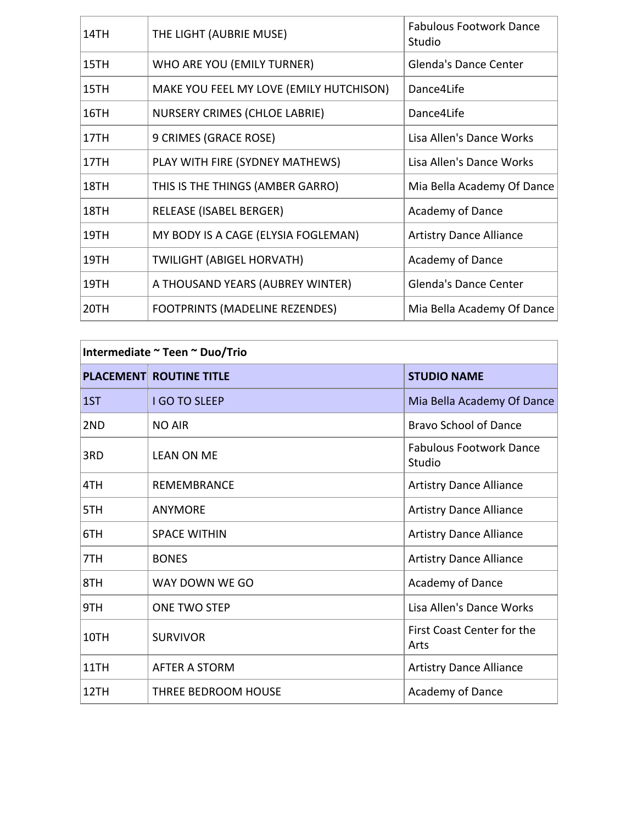| 14TH | THE LIGHT (AUBRIE MUSE)                 | <b>Fabulous Footwork Dance</b><br>Studio |
|------|-----------------------------------------|------------------------------------------|
| 15TH | WHO ARE YOU (EMILY TURNER)              | <b>Glenda's Dance Center</b>             |
| 15TH | MAKE YOU FEEL MY LOVE (EMILY HUTCHISON) | Dance4Life                               |
| 16TH | <b>NURSERY CRIMES (CHLOE LABRIE)</b>    | Dance4Life                               |
| 17TH | 9 CRIMES (GRACE ROSE)                   | Lisa Allen's Dance Works                 |
| 17TH | PLAY WITH FIRE (SYDNEY MATHEWS)         | Lisa Allen's Dance Works                 |
| 18TH | THIS IS THE THINGS (AMBER GARRO)        | Mia Bella Academy Of Dance               |
| 18TH | <b>RELEASE (ISABEL BERGER)</b>          | Academy of Dance                         |
| 19TH | MY BODY IS A CAGE (ELYSIA FOGLEMAN)     | <b>Artistry Dance Alliance</b>           |
| 19TH | <b>TWILIGHT (ABIGEL HORVATH)</b>        | Academy of Dance                         |
| 19TH | A THOUSAND YEARS (AUBREY WINTER)        | Glenda's Dance Center                    |
| 20TH | FOOTPRINTS (MADELINE REZENDES)          | Mia Bella Academy Of Dance               |

| Intermediate ~ Teen ~ Duo/Trio |                                |                                          |
|--------------------------------|--------------------------------|------------------------------------------|
|                                | <b>PLACEMENT ROUTINE TITLE</b> | <b>STUDIO NAME</b>                       |
| 1ST                            | <b>I GO TO SLEEP</b>           | Mia Bella Academy Of Dance               |
| 2ND                            | <b>NO AIR</b>                  | <b>Bravo School of Dance</b>             |
| 3RD                            | <b>LEAN ON ME</b>              | <b>Fabulous Footwork Dance</b><br>Studio |
| 4TH                            | <b>REMEMBRANCE</b>             | <b>Artistry Dance Alliance</b>           |
| 5TH                            | <b>ANYMORE</b>                 | <b>Artistry Dance Alliance</b>           |
| 6TH                            | <b>SPACE WITHIN</b>            | <b>Artistry Dance Alliance</b>           |
| 7TH                            | <b>BONES</b>                   | <b>Artistry Dance Alliance</b>           |
| 8TH                            | WAY DOWN WE GO                 | Academy of Dance                         |
| 9TH                            | <b>ONE TWO STEP</b>            | Lisa Allen's Dance Works                 |
| 10TH                           | <b>SURVIVOR</b>                | First Coast Center for the<br>Arts       |
| 11TH                           | <b>AFTER A STORM</b>           | <b>Artistry Dance Alliance</b>           |
| 12TH                           | THREE BEDROOM HOUSE            | Academy of Dance                         |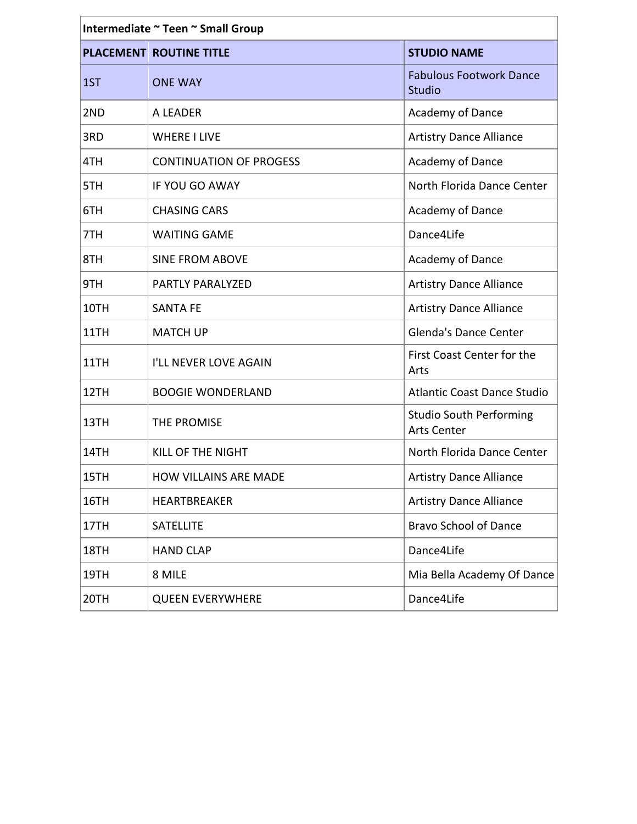| Intermediate ~ Teen ~ Small Group |                                |                                                      |
|-----------------------------------|--------------------------------|------------------------------------------------------|
|                                   | <b>PLACEMENT ROUTINE TITLE</b> | <b>STUDIO NAME</b>                                   |
| 1ST                               | <b>ONE WAY</b>                 | <b>Fabulous Footwork Dance</b><br>Studio             |
| 2ND                               | A LEADER                       | Academy of Dance                                     |
| 3RD                               | <b>WHERE I LIVE</b>            | <b>Artistry Dance Alliance</b>                       |
| 4TH                               | <b>CONTINUATION OF PROGESS</b> | Academy of Dance                                     |
| 5TH                               | IF YOU GO AWAY                 | North Florida Dance Center                           |
| 6TH                               | <b>CHASING CARS</b>            | Academy of Dance                                     |
| 7TH                               | <b>WAITING GAME</b>            | Dance4Life                                           |
| 8TH                               | <b>SINE FROM ABOVE</b>         | Academy of Dance                                     |
| 9TH                               | PARTLY PARALYZED               | <b>Artistry Dance Alliance</b>                       |
| 10TH                              | <b>SANTA FE</b>                | <b>Artistry Dance Alliance</b>                       |
| 11TH                              | <b>MATCH UP</b>                | <b>Glenda's Dance Center</b>                         |
| 11TH                              | I'LL NEVER LOVE AGAIN          | First Coast Center for the<br>Arts                   |
| 12TH                              | <b>BOOGIE WONDERLAND</b>       | <b>Atlantic Coast Dance Studio</b>                   |
| 13TH                              | THE PROMISE                    | <b>Studio South Performing</b><br><b>Arts Center</b> |
| 14TH                              | KILL OF THE NIGHT              | North Florida Dance Center                           |
| 15TH                              | <b>HOW VILLAINS ARE MADE</b>   | <b>Artistry Dance Alliance</b>                       |
| 16TH                              | <b>HEARTBREAKER</b>            | <b>Artistry Dance Alliance</b>                       |
| 17TH                              | <b>SATELLITE</b>               | <b>Bravo School of Dance</b>                         |
| 18TH                              | <b>HAND CLAP</b>               | Dance4Life                                           |
| 19TH                              | 8 MILE                         | Mia Bella Academy Of Dance                           |
| 20TH                              | <b>QUEEN EVERYWHERE</b>        | Dance4Life                                           |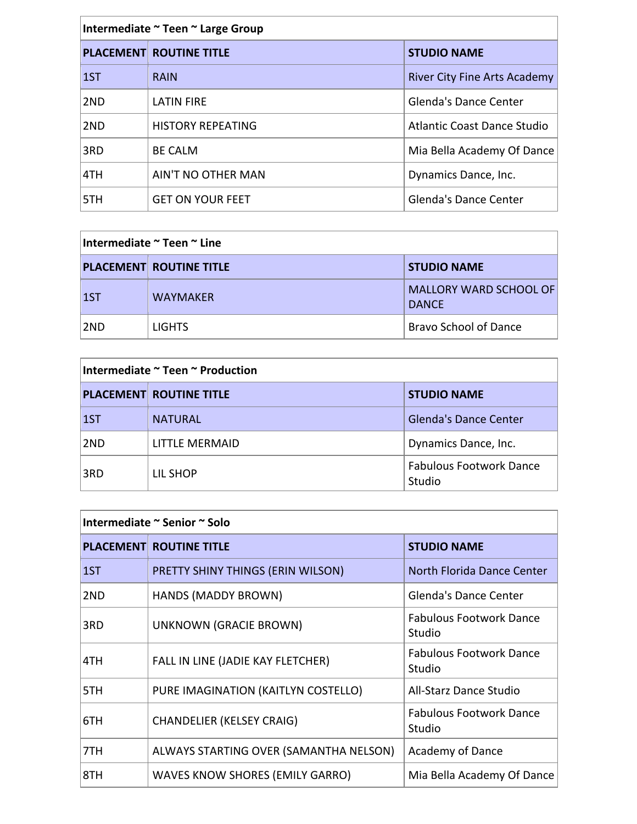| Intermediate ~ Teen ~ Large Group |                                |                                     |
|-----------------------------------|--------------------------------|-------------------------------------|
|                                   | <b>PLACEMENT ROUTINE TITLE</b> | <b>STUDIO NAME</b>                  |
| $\overline{1}$                    | <b>RAIN</b>                    | <b>River City Fine Arts Academy</b> |
| 2ND                               | <b>LATIN FIRE</b>              | <b>Glenda's Dance Center</b>        |
| 2ND                               | <b>HISTORY REPEATING</b>       | <b>Atlantic Coast Dance Studio</b>  |
| 3RD                               | <b>BE CALM</b>                 | Mia Bella Academy Of Dance          |
| 4TH                               | AIN'T NO OTHER MAN             | Dynamics Dance, Inc.                |
| 5TH                               | <b>GET ON YOUR FEET</b>        | <b>Glenda's Dance Center</b>        |

| ∣Intermediate ~ Teen ~ Line |                                |                                        |
|-----------------------------|--------------------------------|----------------------------------------|
|                             | <b>PLACEMENT ROUTINE TITLE</b> | <b>STUDIO NAME</b>                     |
| $\vert$ 1ST                 | <b>WAYMAKER</b>                | MALLORY WARD SCHOOL OF<br><b>DANCE</b> |
| ∣2ND                        | <b>LIGHTS</b>                  | <b>Bravo School of Dance</b>           |

| Intermediate ~ Teen ~ Production |                                |                                          |
|----------------------------------|--------------------------------|------------------------------------------|
|                                  | <b>PLACEMENT ROUTINE TITLE</b> | <b>STUDIO NAME</b>                       |
| $\vert$ 1ST                      | <b>NATURAL</b>                 | <b>Glenda's Dance Center</b>             |
| 2ND                              | LITTLE MERMAID                 | Dynamics Dance, Inc.                     |
| 3RD                              | LIL SHOP                       | <b>Fabulous Footwork Dance</b><br>Studio |

| Intermediate ~ Senior ~ Solo |                                        |                                          |
|------------------------------|----------------------------------------|------------------------------------------|
|                              | <b>PLACEMENT ROUTINE TITLE</b>         | <b>STUDIO NAME</b>                       |
| 1ST                          | PRETTY SHINY THINGS (ERIN WILSON)      | North Florida Dance Center               |
| 2ND                          | HANDS (MADDY BROWN)                    | <b>Glenda's Dance Center</b>             |
| 3RD                          | UNKNOWN (GRACIE BROWN)                 | <b>Fabulous Footwork Dance</b><br>Studio |
| 4TH                          | FALL IN LINE (JADIE KAY FLETCHER)      | <b>Fabulous Footwork Dance</b><br>Studio |
| 5TH                          | PURE IMAGINATION (KAITLYN COSTELLO)    | All-Starz Dance Studio                   |
| 6TH                          | <b>CHANDELIER (KELSEY CRAIG)</b>       | <b>Fabulous Footwork Dance</b><br>Studio |
| 7TH                          | ALWAYS STARTING OVER (SAMANTHA NELSON) | <b>Academy of Dance</b>                  |
| 8TH                          | WAVES KNOW SHORES (EMILY GARRO)        | Mia Bella Academy Of Dance               |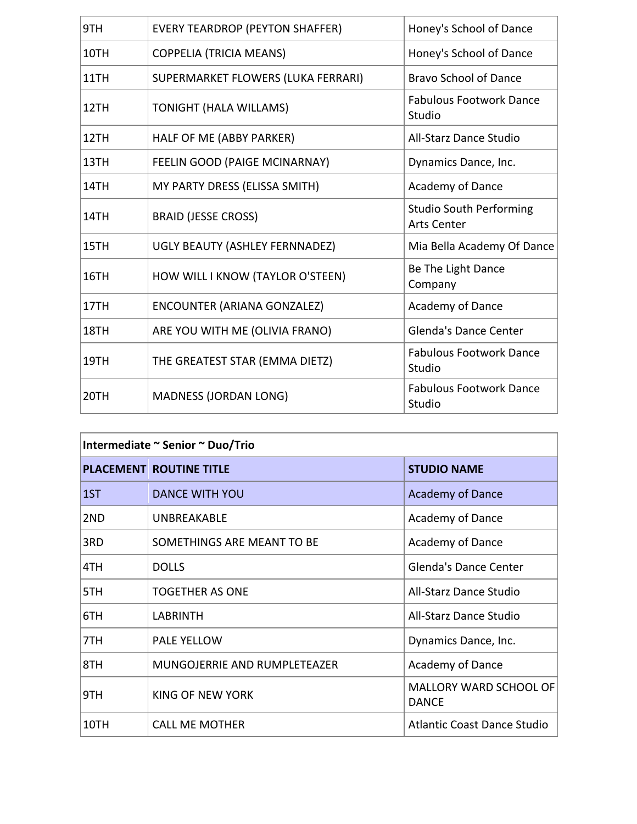| 9TH  | <b>EVERY TEARDROP (PEYTON SHAFFER)</b> | Honey's School of Dance                              |
|------|----------------------------------------|------------------------------------------------------|
| 10TH | <b>COPPELIA (TRICIA MEANS)</b>         | Honey's School of Dance                              |
| 11TH | SUPERMARKET FLOWERS (LUKA FERRARI)     | <b>Bravo School of Dance</b>                         |
| 12TH | <b>TONIGHT (HALA WILLAMS)</b>          | <b>Fabulous Footwork Dance</b><br>Studio             |
| 12TH | HALF OF ME (ABBY PARKER)               | All-Starz Dance Studio                               |
| 13TH | FEELIN GOOD (PAIGE MCINARNAY)          | Dynamics Dance, Inc.                                 |
| 14TH | MY PARTY DRESS (ELISSA SMITH)          | Academy of Dance                                     |
| 14TH | <b>BRAID (JESSE CROSS)</b>             | <b>Studio South Performing</b><br><b>Arts Center</b> |
| 15TH | UGLY BEAUTY (ASHLEY FERNNADEZ)         | Mia Bella Academy Of Dance                           |
| 16TH | HOW WILL I KNOW (TAYLOR O'STEEN)       | Be The Light Dance<br>Company                        |
| 17TH | <b>ENCOUNTER (ARIANA GONZALEZ)</b>     | Academy of Dance                                     |
| 18TH | ARE YOU WITH ME (OLIVIA FRANO)         | <b>Glenda's Dance Center</b>                         |
| 19TH | THE GREATEST STAR (EMMA DIETZ)         | <b>Fabulous Footwork Dance</b><br>Studio             |
| 20TH | <b>MADNESS (JORDAN LONG)</b>           | <b>Fabulous Footwork Dance</b><br>Studio             |
|      |                                        |                                                      |

|      | <b>PLACEMENT ROUTINE TITLE</b> | <b>STUDIO NAME</b>                            |
|------|--------------------------------|-----------------------------------------------|
| 1ST  | <b>DANCE WITH YOU</b>          | <b>Academy of Dance</b>                       |
| 2ND  | <b>UNBREAKABLE</b>             | Academy of Dance                              |
| 3RD  | SOMETHINGS ARE MEANT TO BE     | Academy of Dance                              |
| 4TH  | <b>DOLLS</b>                   | Glenda's Dance Center                         |
| 5TH  | <b>TOGETHER AS ONE</b>         | All-Starz Dance Studio                        |
| 6TH  | <b>LABRINTH</b>                | All-Starz Dance Studio                        |
| 7TH  | <b>PALE YELLOW</b>             | Dynamics Dance, Inc.                          |
| 8TH  | MUNGOJERRIE AND RUMPLETEAZER   | Academy of Dance                              |
| 9TH  | KING OF NEW YORK               | <b>MALLORY WARD SCHOOL OF</b><br><b>DANCE</b> |
| 10TH | <b>CALL ME MOTHER</b>          | <b>Atlantic Coast Dance Studio</b>            |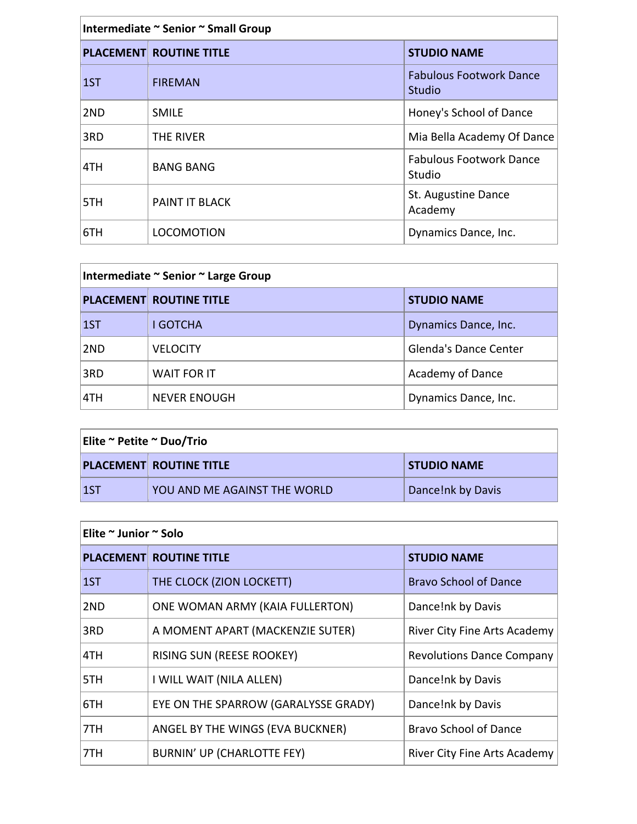| Intermediate ~ Senior ~ Small Group |                                |                                          |
|-------------------------------------|--------------------------------|------------------------------------------|
|                                     | <b>PLACEMENT ROUTINE TITLE</b> | <b>STUDIO NAME</b>                       |
| 1ST                                 | <b>FIREMAN</b>                 | <b>Fabulous Footwork Dance</b><br>Studio |
| 2ND                                 | <b>SMILE</b>                   | Honey's School of Dance                  |
| 3RD                                 | THE RIVER                      | Mia Bella Academy Of Dance               |
| 4TH                                 | <b>BANG BANG</b>               | <b>Fabulous Footwork Dance</b><br>Studio |
| 5TH                                 | PAINT IT BLACK                 | St. Augustine Dance<br>Academy           |
| 6TH                                 | <b>LOCOMOTION</b>              | Dynamics Dance, Inc.                     |

| Intermediate ~ Senior ~ Large Group |                                |                              |
|-------------------------------------|--------------------------------|------------------------------|
|                                     | <b>PLACEMENT ROUTINE TITLE</b> | <b>STUDIO NAME</b>           |
| $\vert 1$ ST                        | <b>I GOTCHA</b>                | Dynamics Dance, Inc.         |
| 2ND                                 | <b>VELOCITY</b>                | <b>Glenda's Dance Center</b> |
| 3RD                                 | WAIT FOR IT                    | Academy of Dance             |
| 4TH                                 | <b>NEVER ENOUGH</b>            | Dynamics Dance, Inc.         |

| Elite ~ Petite ~ Duo/Trio |                                |                    |
|---------------------------|--------------------------------|--------------------|
|                           | <b>PLACEMENT ROUTINE TITLE</b> | <b>STUDIO NAME</b> |
| $\sf{1ST}$                | YOU AND ME AGAINST THE WORLD   | Dance!nk by Davis  |

| Elite ~ Junior ~ Solo |                                      |                                     |
|-----------------------|--------------------------------------|-------------------------------------|
|                       | <b>PLACEMENT ROUTINE TITLE</b>       | <b>STUDIO NAME</b>                  |
| 15T                   | THE CLOCK (ZION LOCKETT)             | <b>Bravo School of Dance</b>        |
| 2ND                   | ONE WOMAN ARMY (KAIA FULLERTON)      | Dance!nk by Davis                   |
| 3RD                   | A MOMENT APART (MACKENZIE SUTER)     | River City Fine Arts Academy        |
| 4TH                   | RISING SUN (REESE ROOKEY)            | <b>Revolutions Dance Company</b>    |
| 5TH                   | I WILL WAIT (NILA ALLEN)             | Dance!nk by Davis                   |
| 6TH                   | EYE ON THE SPARROW (GARALYSSE GRADY) | Dance!nk by Davis                   |
| 7TH                   | ANGEL BY THE WINGS (EVA BUCKNER)     | <b>Bravo School of Dance</b>        |
| 7TH                   | <b>BURNIN' UP (CHARLOTTE FEY)</b>    | <b>River City Fine Arts Academy</b> |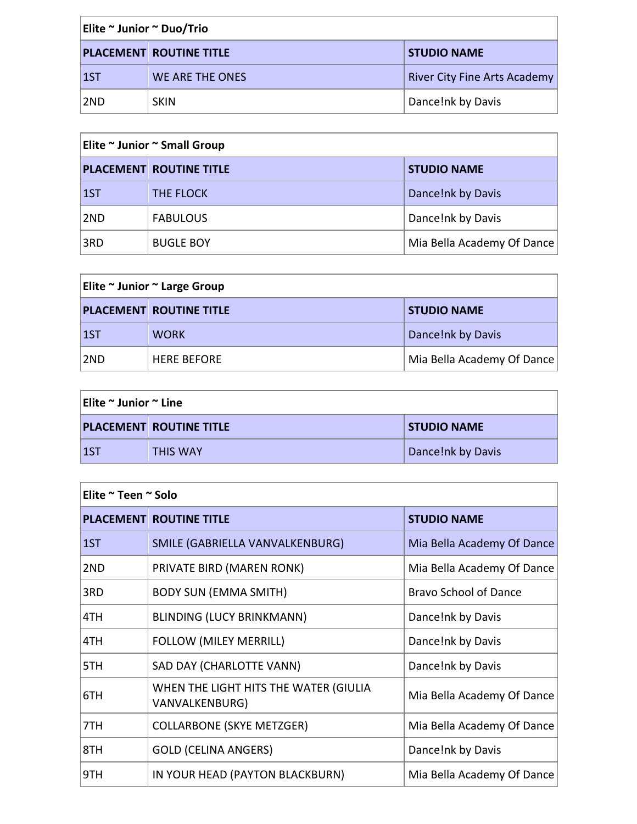| Elite ~ Junior ~ Duo/Trio |                                |                                     |
|---------------------------|--------------------------------|-------------------------------------|
|                           | <b>PLACEMENT ROUTINE TITLE</b> | <b>STUDIO NAME</b>                  |
| $\vert$ 1ST               | WE ARE THE ONES                | <b>River City Fine Arts Academy</b> |
| ∣2ND                      | <b>SKIN</b>                    | Dance!nk by Davis                   |

| Elite ~ Junior ~ Small Group |                                |                            |
|------------------------------|--------------------------------|----------------------------|
|                              | <b>PLACEMENT ROUTINE TITLE</b> | <b>STUDIO NAME</b>         |
| $\vert$ 1ST                  | <b>THE FLOCK</b>               | Dance!nk by Davis          |
| 2ND                          | <b>FABULOUS</b>                | Dance!nk by Davis          |
| 3RD                          | <b>BUGLE BOY</b>               | Mia Bella Academy Of Dance |

| Elite ~ Junior ~ Large Group |                                |                            |
|------------------------------|--------------------------------|----------------------------|
|                              | <b>PLACEMENT ROUTINE TITLE</b> | <b>STUDIO NAME</b>         |
| 1ST                          | <b>WORK</b>                    | Dance!nk by Davis          |
| 2ND                          | <b>HERE BEFORE</b>             | Mia Bella Academy Of Dance |

| Elite ~ Junior ~ Line |                                |                    |
|-----------------------|--------------------------------|--------------------|
|                       | <b>PLACEMENT ROUTINE TITLE</b> | <b>STUDIO NAME</b> |
| $\sf{1ST}$            | THIS WAY                       | Dance!nk by Davis  |

| Elite ~ Teen ~ Solo |                                                         |                              |
|---------------------|---------------------------------------------------------|------------------------------|
|                     | <b>PLACEMENT ROUTINE TITLE</b>                          | <b>STUDIO NAME</b>           |
| 1ST                 | SMILE (GABRIELLA VANVALKENBURG)                         | Mia Bella Academy Of Dance   |
| 2ND                 | PRIVATE BIRD (MAREN RONK)                               | Mia Bella Academy Of Dance   |
| 3RD                 | <b>BODY SUN (EMMA SMITH)</b>                            | <b>Bravo School of Dance</b> |
| 4TH                 | <b>BLINDING (LUCY BRINKMANN)</b>                        | Dance!nk by Davis            |
| 4TH                 | FOLLOW (MILEY MERRILL)                                  | Dance!nk by Davis            |
| 5TH                 | SAD DAY (CHARLOTTE VANN)                                | Dance!nk by Davis            |
| 6TH                 | WHEN THE LIGHT HITS THE WATER (GIULIA<br>VANVALKENBURG) | Mia Bella Academy Of Dance   |
| 7TH                 | <b>COLLARBONE (SKYE METZGER)</b>                        | Mia Bella Academy Of Dance   |
| 8TH                 | <b>GOLD (CELINA ANGERS)</b>                             | Dance!nk by Davis            |
| 9TH                 | IN YOUR HEAD (PAYTON BLACKBURN)                         | Mia Bella Academy Of Dance   |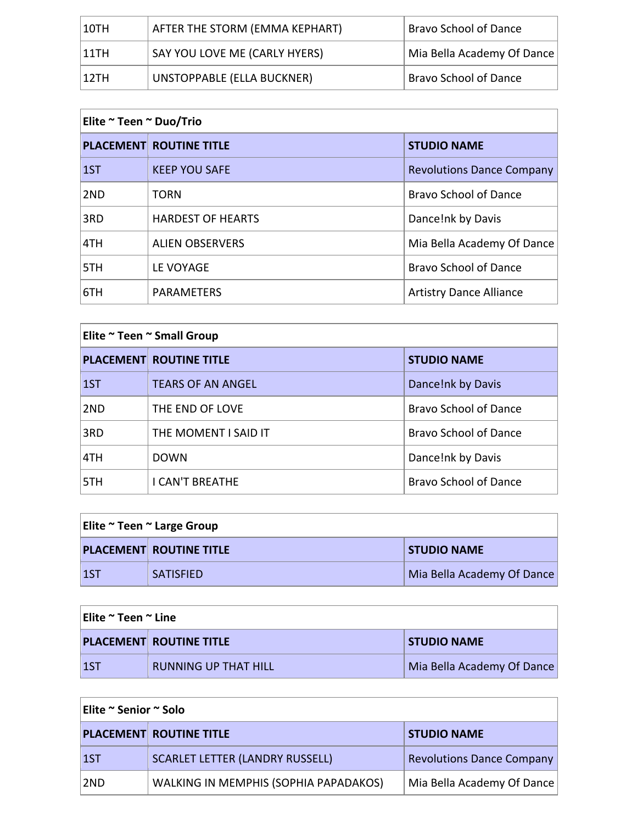| 10TH  | AFTER THE STORM (EMMA KEPHART) | <b>Bravo School of Dance</b> |
|-------|--------------------------------|------------------------------|
| 111TH | SAY YOU LOVE ME (CARLY HYERS)  | Mia Bella Academy Of Dance   |
| 12TH  | UNSTOPPABLE (ELLA BUCKNER)     | <b>Bravo School of Dance</b> |

| Elite ~ Teen ~ Duo/Trio |                                |                                  |
|-------------------------|--------------------------------|----------------------------------|
|                         | <b>PLACEMENT ROUTINE TITLE</b> | <b>STUDIO NAME</b>               |
| 1ST                     | <b>KEEP YOU SAFE</b>           | <b>Revolutions Dance Company</b> |
| 2 <sub>ND</sub>         | <b>TORN</b>                    | <b>Bravo School of Dance</b>     |
| 3RD                     | <b>HARDEST OF HEARTS</b>       | Dance!nk by Davis                |
| 4TH                     | <b>ALIEN OBSERVERS</b>         | Mia Bella Academy Of Dance       |
| 5TH                     | LE VOYAGE                      | <b>Bravo School of Dance</b>     |
| 6TH                     | <b>PARAMETERS</b>              | <b>Artistry Dance Alliance</b>   |

| Elite ~ Teen ~ Small Group |                                |                              |
|----------------------------|--------------------------------|------------------------------|
|                            | <b>PLACEMENT ROUTINE TITLE</b> | <b>STUDIO NAME</b>           |
| 1ST                        | <b>TEARS OF AN ANGEL</b>       | Dance!nk by Davis            |
| 2ND                        | THE END OF LOVE                | <b>Bravo School of Dance</b> |
| 3RD                        | THE MOMENT I SAID IT           | <b>Bravo School of Dance</b> |
| 4TH                        | <b>DOWN</b>                    | Dance!nk by Davis            |
| 5TH                        | <b>I CAN'T BREATHE</b>         | <b>Bravo School of Dance</b> |

| Elite ~ Teen ~ Large Group |                                |                            |
|----------------------------|--------------------------------|----------------------------|
|                            | <b>PLACEMENT ROUTINE TITLE</b> | <b>STUDIO NAME</b>         |
| <u> 157</u>                | <b>SATISFIED</b>               | Mia Bella Academy Of Dance |

| Elite ~ Teen ~ Line |                                |                            |
|---------------------|--------------------------------|----------------------------|
|                     | <b>PLACEMENT ROUTINE TITLE</b> | <b>STUDIO NAME</b>         |
| $\vert$ 1ST         | <b>RUNNING UP THAT HILL</b>    | Mia Bella Academy Of Dance |

| Elite ~ Senior ~ Solo |                                        |                                  |
|-----------------------|----------------------------------------|----------------------------------|
|                       | <b>PLACEMENT ROUTINE TITLE</b>         | <b>STUDIO NAME</b>               |
| $\vert$ 1ST           | <b>SCARLET LETTER (LANDRY RUSSELL)</b> | <b>Revolutions Dance Company</b> |
| 2ND                   | WALKING IN MEMPHIS (SOPHIA PAPADAKOS)  | Mia Bella Academy Of Dance       |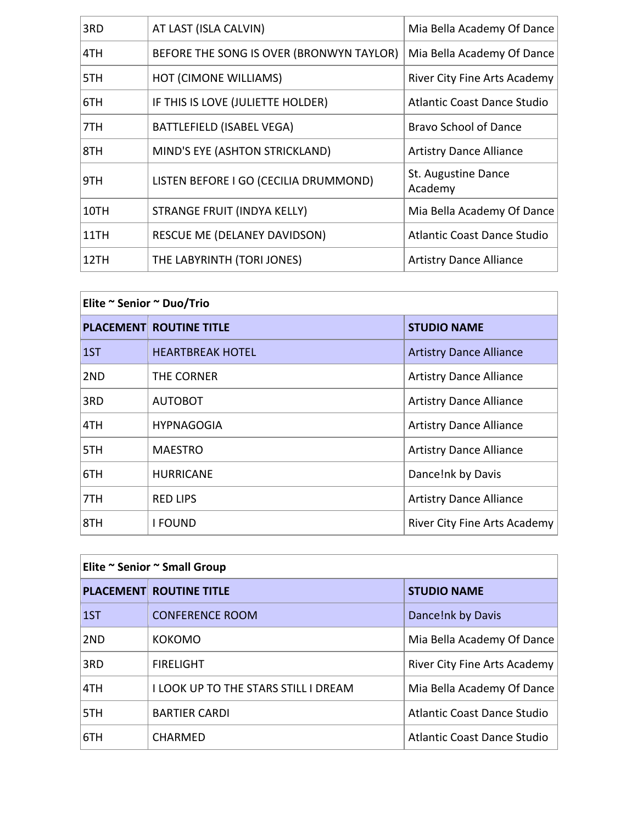| 3RD  | AT LAST (ISLA CALVIN)                    | Mia Bella Academy Of Dance          |
|------|------------------------------------------|-------------------------------------|
| 4TH  | BEFORE THE SONG IS OVER (BRONWYN TAYLOR) | Mia Bella Academy Of Dance          |
| 5TH  | <b>HOT (CIMONE WILLIAMS)</b>             | <b>River City Fine Arts Academy</b> |
| 6TH  | IF THIS IS LOVE (JULIETTE HOLDER)        | <b>Atlantic Coast Dance Studio</b>  |
| 7TH  | BATTLEFIELD (ISABEL VEGA)                | <b>Bravo School of Dance</b>        |
| 8TH  | MIND'S EYE (ASHTON STRICKLAND)           | <b>Artistry Dance Alliance</b>      |
| 9TH  | LISTEN BEFORE I GO (CECILIA DRUMMOND)    | St. Augustine Dance<br>Academy      |
| 10TH | STRANGE FRUIT (INDYA KELLY)              | Mia Bella Academy Of Dance          |
| 11TH | RESCUE ME (DELANEY DAVIDSON)             | Atlantic Coast Dance Studio         |
| 12TH | THE LABYRINTH (TORI JONES)               | <b>Artistry Dance Alliance</b>      |

| Elite ~ Senior ~ Duo/Trio |                                |                                |
|---------------------------|--------------------------------|--------------------------------|
|                           | <b>PLACEMENT ROUTINE TITLE</b> | <b>STUDIO NAME</b>             |
| 1ST                       | <b>HEARTBREAK HOTEL</b>        | <b>Artistry Dance Alliance</b> |
| 2ND                       | THE CORNER                     | <b>Artistry Dance Alliance</b> |
| 3RD                       | <b>AUTOBOT</b>                 | <b>Artistry Dance Alliance</b> |
| 4TH                       | <b>HYPNAGOGIA</b>              | <b>Artistry Dance Alliance</b> |
| 5TH                       | <b>MAESTRO</b>                 | <b>Artistry Dance Alliance</b> |
| 6TH                       | <b>HURRICANE</b>               | Dance!nk by Davis              |
| 7TH                       | <b>RED LIPS</b>                | <b>Artistry Dance Alliance</b> |
| 8TH                       | <b>I FOUND</b>                 | River City Fine Arts Academy   |

| Elite ~ Senior ~ Small Group |                                      |                                    |
|------------------------------|--------------------------------------|------------------------------------|
|                              | <b>PLACEMENT ROUTINE TITLE</b>       | <b>STUDIO NAME</b>                 |
| 1ST                          | <b>CONFERENCE ROOM</b>               | Dance!nk by Davis                  |
| 2ND                          | <b>KOKOMO</b>                        | Mia Bella Academy Of Dance         |
| 3RD                          | <b>FIRELIGHT</b>                     | River City Fine Arts Academy       |
| 4TH                          | I LOOK UP TO THE STARS STILL I DREAM | Mia Bella Academy Of Dance         |
| 15TH                         | <b>BARTIER CARDI</b>                 | <b>Atlantic Coast Dance Studio</b> |
| 16TH                         | <b>CHARMED</b>                       | <b>Atlantic Coast Dance Studio</b> |